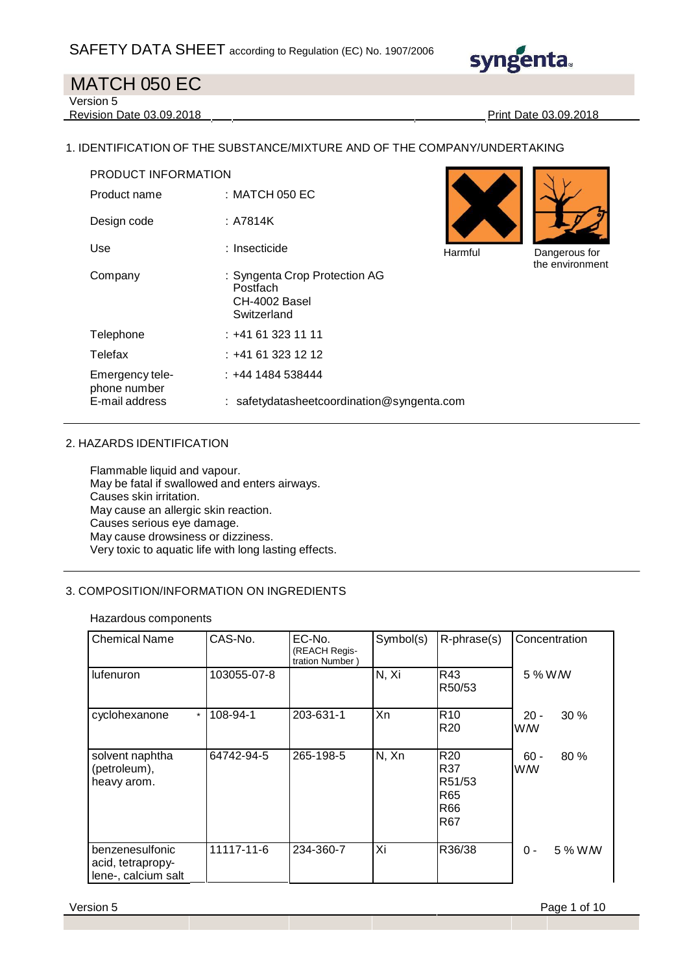

Version 5

Revision Date 03.09.2018 Print Date 03.09.2018

#### 1. IDENTIFICATION OF THE SUBSTANCE/MIXTURE AND OF THE COMPANY/UNDERTAKING

| PRODUCT INFORMATION             |                                                                           |         |                                 |
|---------------------------------|---------------------------------------------------------------------------|---------|---------------------------------|
| Product name                    | : MATCH 050 EC                                                            |         |                                 |
| Design code                     | : A7814K                                                                  |         |                                 |
| Use                             | : Insecticide                                                             | Harmful | Dangerous for<br>the environmer |
| Company                         | : Syngenta Crop Protection AG<br>Postfach<br>CH-4002 Basel<br>Switzerland |         |                                 |
| Telephone                       | $: +41613231111$                                                          |         |                                 |
| Telefax                         | $: +41613231212$                                                          |         |                                 |
| Emergency tele-<br>phone number | $: +44$ 1484 538444                                                       |         |                                 |
| E-mail address                  | : safetydatasheetcoordination@syngenta.com                                |         |                                 |



the environment

#### 2. HAZARDS IDENTIFICATION

Flammable liquid and vapour. May be fatal if swallowed and enters airways. Causes skin irritation. May cause an allergic skin reaction. Causes serious eye damage. May cause drowsiness or dizziness. Very toxic to aquatic life with long lasting effects.

#### 3. COMPOSITION/INFORMATION ON INGREDIENTS

Hazardous components

| <b>Chemical Name</b>                                        | CAS-No.     | EC-No.<br>(REACH Regis-<br>tration Number) | Symbol(s) | R-phrase(s)                                           | Concentration              |
|-------------------------------------------------------------|-------------|--------------------------------------------|-----------|-------------------------------------------------------|----------------------------|
| lufenuron                                                   | 103055-07-8 |                                            | N, Xi     | R43<br>R50/53                                         | 5 % W/W                    |
| cyclohexanone<br>$\star$                                    | 108-94-1    | 203-631-1                                  | <b>Xn</b> | R <sub>10</sub><br>R <sub>20</sub>                    | $20 -$<br>$30\%$<br>WW     |
| solvent naphtha<br>(petroleum),<br>heavy arom.              | 64742-94-5  | 265-198-5                                  | N, Xn     | R <sub>20</sub><br>R37<br>R51/53<br>R65<br>R66<br>R67 | $60 -$<br>80%<br><b>WW</b> |
| benzenesulfonic<br>acid, tetrapropy-<br>lene-, calcium salt | 11117-11-6  | 234-360-7                                  | Xi        | R36/38                                                | $0 -$<br>5 % W W           |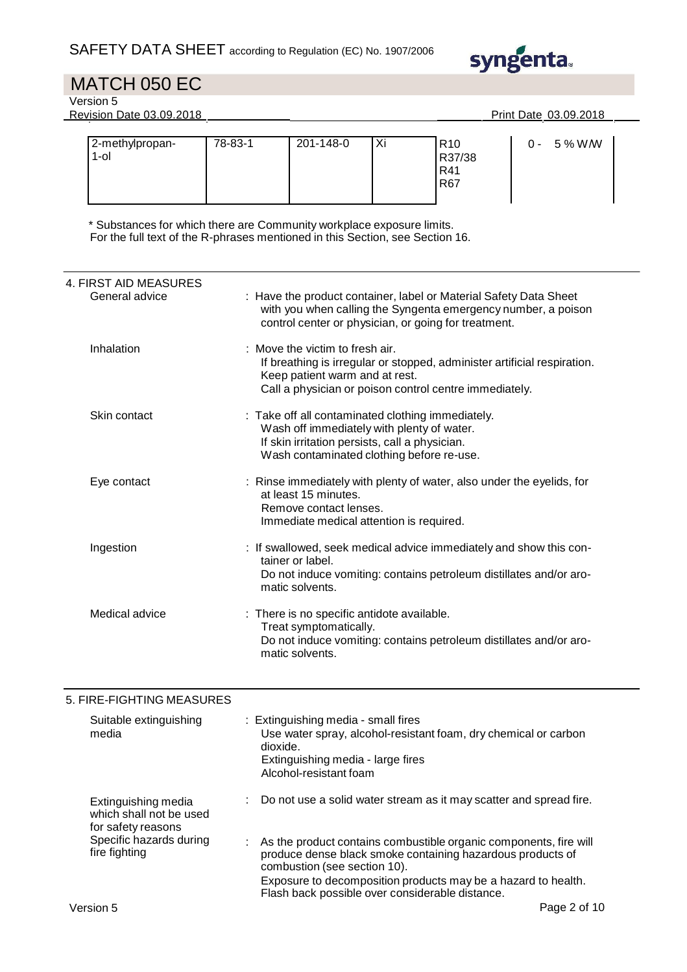

Version 5

Revision Date 03.09.2018 **Print Date 03.09.2018** 

| 2-methylpropan-<br>$1$ -ol | 78-83-1 | 201-148-0 | Xi | R <sub>10</sub><br>R37/38<br>R41 |
|----------------------------|---------|-----------|----|----------------------------------|
|                            |         |           |    | R67                              |

\* Substances for which there are Community workplace exposure limits. For the full text of the R-phrases mentioned in this Section, see Section 16.

| 4. FIRST AID MEASURES           |                                                                                                                                                                                                         |
|---------------------------------|---------------------------------------------------------------------------------------------------------------------------------------------------------------------------------------------------------|
| General advice                  | : Have the product container, label or Material Safety Data Sheet<br>with you when calling the Syngenta emergency number, a poison<br>control center or physician, or going for treatment.              |
| Inhalation                      | : Move the victim to fresh air.<br>If breathing is irregular or stopped, administer artificial respiration.<br>Keep patient warm and at rest.<br>Call a physician or poison control centre immediately. |
| Skin contact                    | : Take off all contaminated clothing immediately.<br>Wash off immediately with plenty of water.<br>If skin irritation persists, call a physician.<br>Wash contaminated clothing before re-use.          |
| Eye contact                     | : Rinse immediately with plenty of water, also under the eyelids, for<br>at least 15 minutes.<br>Remove contact lenses.<br>Immediate medical attention is required.                                     |
| Ingestion                       | : If swallowed, seek medical advice immediately and show this con-<br>tainer or label.<br>Do not induce vomiting: contains petroleum distillates and/or aro-<br>matic solvents.                         |
| Medical advice                  | : There is no specific antidote available.<br>Treat symptomatically.<br>Do not induce vomiting: contains petroleum distillates and/or aro-<br>matic solvents.                                           |
| 5. FIRE-FIGHTING MEASURES       |                                                                                                                                                                                                         |
| Suitable extinguishing<br>media | : Extinguishing media - small fires<br>Use water spray, alcohol-resistant foam, dry chemical or carbon<br>dioxide.<br>Extinguishing media - large fires<br>Alcohol-resistant foam                       |
| Extinguishing media             | Do not use a solid water stream as it may scatter and spread fire.                                                                                                                                      |

for safety reasons Specific hazards during : As the product contains combustible organic components, fire will produce dense black smoke containing hazardous products of combustion (see section 10). Exposure to decomposition products may be a hazard to health. Flash back possible over considerable distance.

fire fighting

which shall not be used

0 - 5 % W/W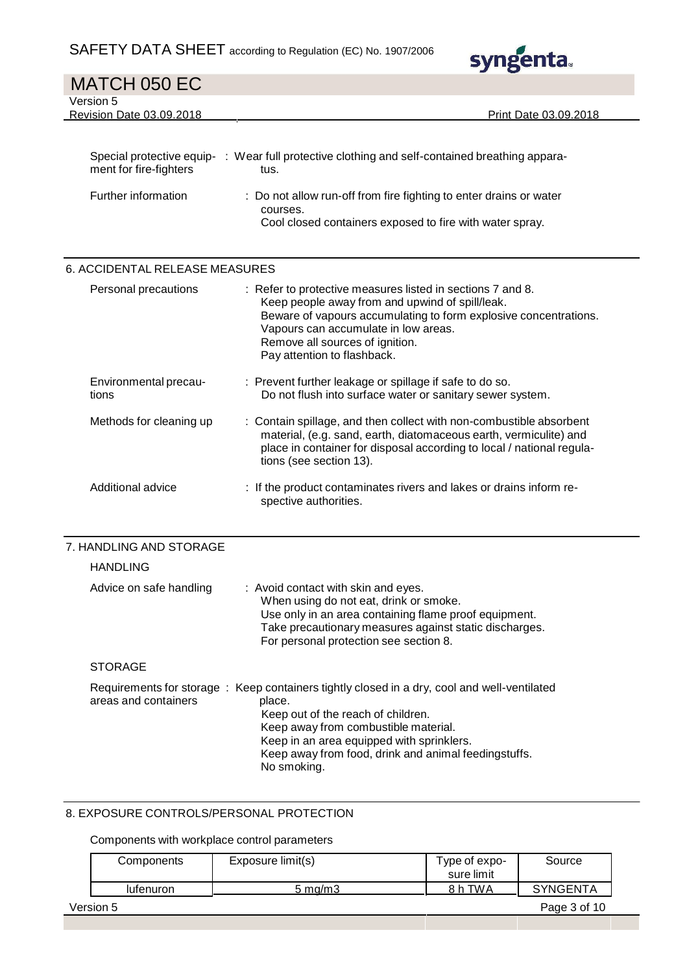|                                       | $S$ AFE I Y DA I A SHEE I according to Regulation (EC) No. 1907/2006<br><b>syngenta.</b>                                                                                                                                                                                                    |
|---------------------------------------|---------------------------------------------------------------------------------------------------------------------------------------------------------------------------------------------------------------------------------------------------------------------------------------------|
| MATCH 050 EC                          |                                                                                                                                                                                                                                                                                             |
| Version 5<br>Revision Date 03.09.2018 | Print Date 03.09.2018                                                                                                                                                                                                                                                                       |
|                                       |                                                                                                                                                                                                                                                                                             |
| ment for fire-fighters                | Special protective equip- : Wear full protective clothing and self-contained breathing appara-<br>tus.                                                                                                                                                                                      |
| Further information                   | Do not allow run-off from fire fighting to enter drains or water<br>courses.<br>Cool closed containers exposed to fire with water spray.                                                                                                                                                    |
| 6. ACCIDENTAL RELEASE MEASURES        |                                                                                                                                                                                                                                                                                             |
| Personal precautions                  | : Refer to protective measures listed in sections 7 and 8.<br>Keep people away from and upwind of spill/leak.<br>Beware of vapours accumulating to form explosive concentrations.<br>Vapours can accumulate in low areas.<br>Remove all sources of ignition.<br>Pay attention to flashback. |
| Environmental precau-<br>tions        | : Prevent further leakage or spillage if safe to do so.<br>Do not flush into surface water or sanitary sewer system.                                                                                                                                                                        |
| Methods for cleaning up               | : Contain spillage, and then collect with non-combustible absorbent<br>material, (e.g. sand, earth, diatomaceous earth, vermiculite) and<br>place in container for disposal according to local / national regula-<br>tions (see section 13).                                                |
| Additional advice                     | : If the product contaminates rivers and lakes or drains inform re-<br>spective authorities.                                                                                                                                                                                                |
| 7. HANDLING AND STORAGE               |                                                                                                                                                                                                                                                                                             |
| <b>HANDLING</b>                       |                                                                                                                                                                                                                                                                                             |
| Advice on safe handling               | : Avoid contact with skin and eyes.<br>When using do not eat, drink or smoke.<br>Use only in an area containing flame proof equipment.<br>Take precautionary measures against static discharges.<br>For personal protection see section 8.                                                  |

### **STORAGE**

|                      | Requirements for storage : Keep containers tightly closed in a dry, cool and well-ventilated |
|----------------------|----------------------------------------------------------------------------------------------|
| areas and containers | place.                                                                                       |
|                      | Keep out of the reach of children.                                                           |
|                      | Keep away from combustible material.                                                         |
|                      | Keep in an area equipped with sprinklers.                                                    |
|                      | Keep away from food, drink and animal feedingstuffs.                                         |
|                      | No smoking.                                                                                  |

#### 8. EXPOSURE CONTROLS/PERSONAL PROTECTION

#### Components with workplace control parameters

| Components | Exposure limit(s)  | Type of expo-<br>sure limit | Source          |
|------------|--------------------|-----------------------------|-----------------|
| lufenuron  | $5 \text{ ma/m}$ 3 | 8 h TWA                     | <b>SYNGENTA</b> |
| Version 5  |                    |                             | Page 3 of 10    |
|            |                    |                             |                 |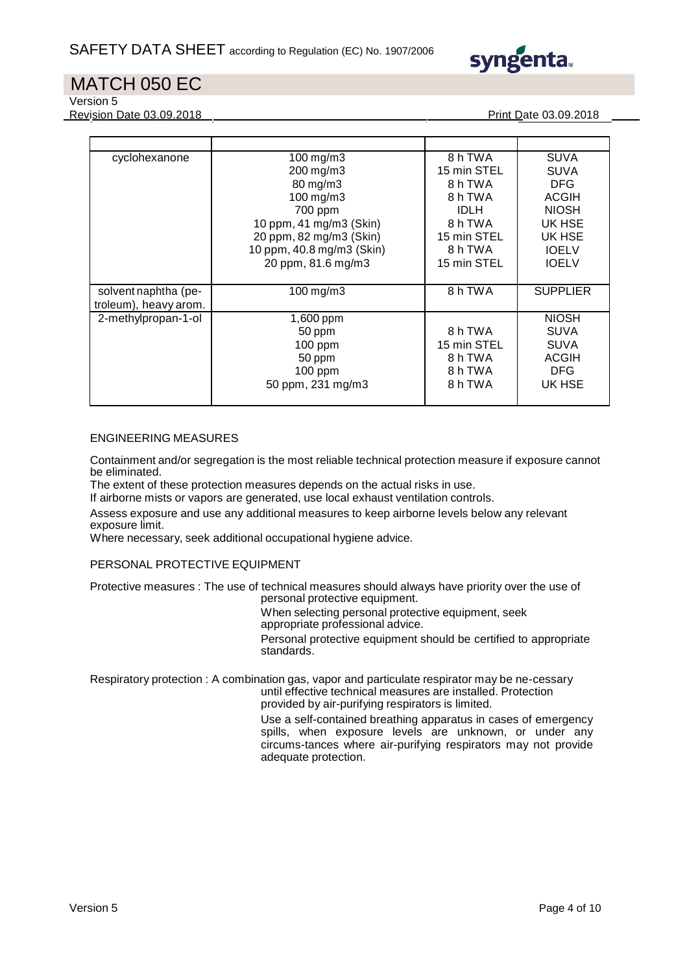

Version 5

Revision Date 03.09.2018 Print Date 03.09.2018

| cyclohexanone         | 100 mg/m3                 | 8 h TWA     | <b>SUVA</b>     |
|-----------------------|---------------------------|-------------|-----------------|
|                       | 200 mg/m3                 | 15 min STEL | <b>SUVA</b>     |
|                       | 80 mg/m3                  | 8 h TWA     | <b>DFG</b>      |
|                       | 100 mg/m3                 | 8 h TWA     | <b>ACGIH</b>    |
|                       | 700 ppm                   | <b>IDLH</b> | <b>NIOSH</b>    |
|                       | 10 ppm, 41 mg/m3 (Skin)   | 8 h TWA     | UK HSE          |
|                       | 20 ppm, 82 mg/m3 (Skin)   | 15 min STEL | UK HSE          |
|                       | 10 ppm, 40.8 mg/m3 (Skin) | 8 h TWA     | <b>IOELV</b>    |
|                       | 20 ppm, 81.6 mg/m3        | 15 min STEL | <b>IOELV</b>    |
|                       |                           |             |                 |
| solvent naphtha (pe-  | 100 mg/m3                 | 8hTWA       | <b>SUPPLIER</b> |
| troleum), heavy arom. |                           |             |                 |
| 2-methylpropan-1-ol   | 1,600 ppm                 |             | <b>NIOSH</b>    |
|                       | 50 ppm                    | 8 h TWA     | <b>SUVA</b>     |
|                       | $100$ ppm                 | 15 min STEL | <b>SUVA</b>     |
|                       | 50 ppm                    | 8 h TWA     | <b>ACGIH</b>    |
|                       | $100$ ppm                 | 8 h TWA     | <b>DFG</b>      |
|                       | 50 ppm, 231 mg/m3         | 8 h TWA     | UK HSE          |
|                       |                           |             |                 |

#### ENGINEERING MEASURES

Containment and/or segregation is the most reliable technical protection measure if exposure cannot be eliminated.

The extent of these protection measures depends on the actual risks in use.

If airborne mists or vapors are generated, use local exhaust ventilation controls.

Assess exposure and use any additional measures to keep airborne levels below any relevant exposure limit.

Where necessary, seek additional occupational hygiene advice.

PERSONAL PROTECTIVE EQUIPMENT

Protective measures : The use of technical measures should always have priority over the use of personal protective equipment.

When selecting personal protective equipment, seek

appropriate professional advice.

Personal protective equipment should be certified to appropriate standards.

Respiratory protection : A combination gas, vapor and particulate respirator may be ne-cessary until effective technical measures are installed. Protection provided by air-purifying respirators is limited.

Use a self-contained breathing apparatus in cases of emergency spills, when exposure levels are unknown, or under any circums-tances where air-purifying respirators may not provide adequate protection.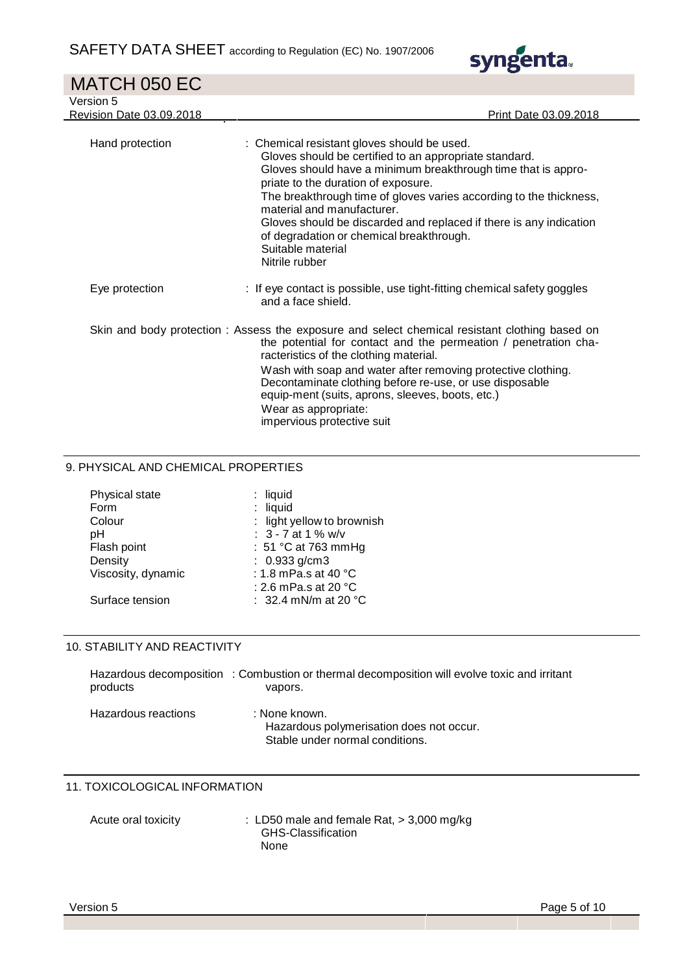| MATCH 050 EC                                 |                                                                                                                                                                                                                                                                                                                                                                                                                                                                            |
|----------------------------------------------|----------------------------------------------------------------------------------------------------------------------------------------------------------------------------------------------------------------------------------------------------------------------------------------------------------------------------------------------------------------------------------------------------------------------------------------------------------------------------|
| Version 5<br><b>Revision Date 03.09.2018</b> | Print Date 03.09.2018                                                                                                                                                                                                                                                                                                                                                                                                                                                      |
| Hand protection                              | : Chemical resistant gloves should be used.<br>Gloves should be certified to an appropriate standard.<br>Gloves should have a minimum breakthrough time that is appro-<br>priate to the duration of exposure.<br>The breakthrough time of gloves varies according to the thickness,<br>material and manufacturer.<br>Gloves should be discarded and replaced if there is any indication<br>of degradation or chemical breakthrough.<br>Suitable material<br>Nitrile rubber |
| Eye protection                               | : If eye contact is possible, use tight-fitting chemical safety goggles<br>and a face shield.                                                                                                                                                                                                                                                                                                                                                                              |
|                                              | Skin and body protection: Assess the exposure and select chemical resistant clothing based on<br>the potential for contact and the permeation / penetration cha-<br>racteristics of the clothing material.<br>Wash with soap and water after removing protective clothing.<br>Decontaminate clothing before re-use, or use disposable<br>equip-ment (suits, aprons, sleeves, boots, etc.)<br>Maar ac annronriate: '                                                        |

syngenta.

Wear as appropriate: impervious protective suit

### 9. PHYSICAL AND CHEMICAL PROPERTIES

| Physical state     | $:$ liquid                     |
|--------------------|--------------------------------|
| Form               | : liquid                       |
| Colour             | : light yellow to brownish     |
| рH                 | : $3 - 7$ at 1 % w/v           |
| Flash point        | : 51 °C at 763 mmHg            |
| Density            | : $0.933$ g/cm3                |
| Viscosity, dynamic | : 1.8 mPa.s at 40 °C           |
|                    | : 2.6 mPa.s at 20 $^{\circ}$ C |
| Surface tension    | : 32.4 mN/m at 20 $^{\circ}$ C |

#### 10. STABILITY AND REACTIVITY

| products            | Hazardous decomposition : Combustion or thermal decomposition will evolve toxic and irritant<br>vapors. |
|---------------------|---------------------------------------------------------------------------------------------------------|
| Hazardous reactions | : None known.<br>Hazardous polymerisation does not occur.<br>Stable under normal conditions.            |

#### 11. TOXICOLOGICAL INFORMATION

| Acute oral toxicity | : LD50 male and female Rat, $>$ 3,000 mg/kg |
|---------------------|---------------------------------------------|
|                     | GHS-Classification                          |
|                     | <b>None</b>                                 |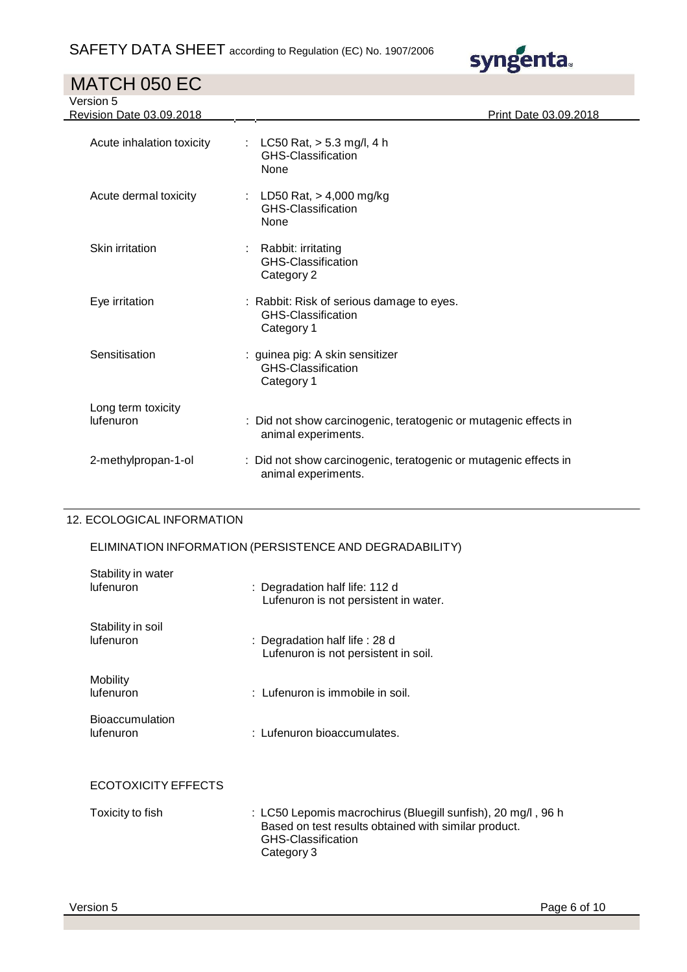| MATCH 050 EC                          |                                                                                         |
|---------------------------------------|-----------------------------------------------------------------------------------------|
| Version 5<br>Revision Date 03.09.2018 | Print Date 03.09.2018                                                                   |
| Acute inhalation toxicity             | : LC50 Rat, $>$ 5.3 mg/l, 4 h<br>GHS-Classification<br>None                             |
| Acute dermal toxicity                 | : LD50 Rat, $> 4,000$ mg/kg<br><b>GHS-Classification</b><br>None                        |
| Skin irritation                       | Rabbit: irritating<br><b>GHS-Classification</b><br>Category 2                           |
| Eye irritation                        | : Rabbit: Risk of serious damage to eyes.<br>GHS-Classification<br>Category 1           |
| Sensitisation                         | : guinea pig: A skin sensitizer<br><b>GHS-Classification</b><br>Category 1              |
| Long term toxicity<br>lufenuron       | : Did not show carcinogenic, teratogenic or mutagenic effects in<br>animal experiments. |
| 2-methylpropan-1-ol                   | : Did not show carcinogenic, teratogenic or mutagenic effects in<br>animal experiments. |

syngenta.

#### 12. ECOLOGICAL INFORMATION

### ELIMINATION INFORMATION (PERSISTENCE AND DEGRADABILITY)

| Stability in water<br>lufenuron     | : Degradation half life: 112 d<br>Lufenuron is not persistent in water.                                                                                  |  |
|-------------------------------------|----------------------------------------------------------------------------------------------------------------------------------------------------------|--|
| Stability in soil<br>lufenuron      | : Degradation half life : 28 d<br>Lufenuron is not persistent in soil.                                                                                   |  |
| Mobility<br>lufenuron               | : Lufenuron is immobile in soil.                                                                                                                         |  |
| <b>Bioaccumulation</b><br>lufenuron | : Lufenuron bioaccumulates.                                                                                                                              |  |
| ECOTOXICITY EFFECTS                 |                                                                                                                                                          |  |
| Toxicity to fish                    | : LC50 Lepomis macrochirus (Bluegill sunfish), 20 mg/l, 96 h<br>Based on test results obtained with similar product.<br>GHS-Classification<br>Category 3 |  |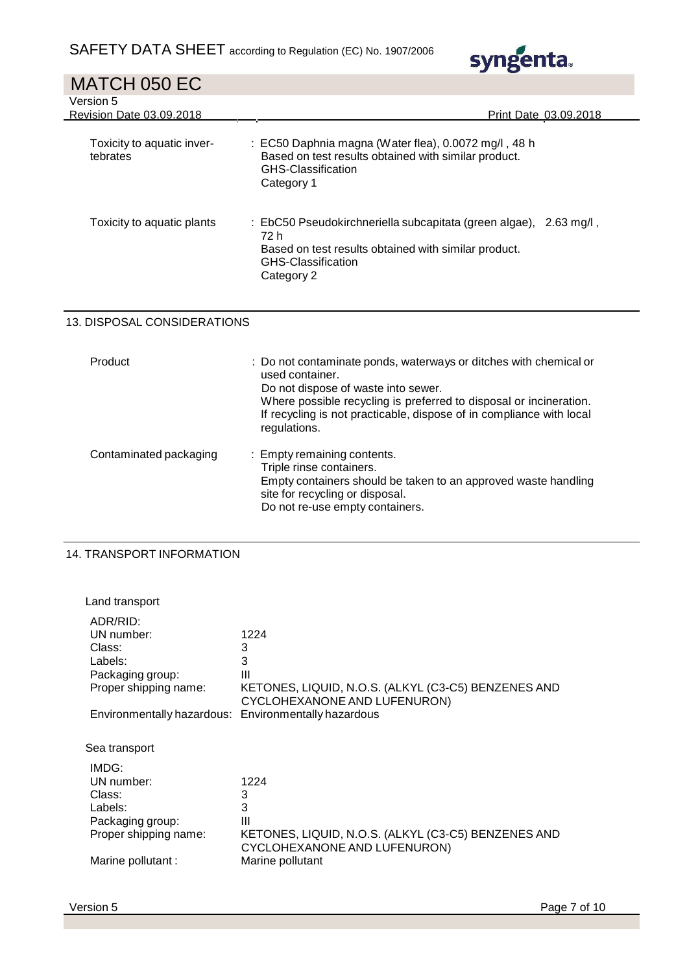

| MATCH 050 EC                           |                                                                                                                                                                                                                                                                                           |
|----------------------------------------|-------------------------------------------------------------------------------------------------------------------------------------------------------------------------------------------------------------------------------------------------------------------------------------------|
| Version 5<br>Revision Date 03.09.2018  | Print Date 03.09.2018                                                                                                                                                                                                                                                                     |
| Toxicity to aquatic inver-<br>tebrates | : EC50 Daphnia magna (Water flea), 0.0072 mg/l, 48 h<br>Based on test results obtained with similar product.<br><b>GHS-Classification</b><br>Category 1                                                                                                                                   |
| Toxicity to aquatic plants             | : EbC50 Pseudokirchneriella subcapitata (green algae), 2.63 mg/l,<br>72 h<br>Based on test results obtained with similar product.<br><b>GHS-Classification</b><br>Category 2                                                                                                              |
| 13. DISPOSAL CONSIDERATIONS            |                                                                                                                                                                                                                                                                                           |
| Product                                | : Do not contaminate ponds, waterways or ditches with chemical or<br>used container.<br>Do not dispose of waste into sewer.<br>Where possible recycling is preferred to disposal or incineration.<br>If recycling is not practicable, dispose of in compliance with local<br>regulations. |
| Contaminated packaging                 | Empty remaining contents.<br>Triple rinse containers.<br>Empty containers should be taken to an approved waste handling<br>site for recycling or disposal.<br>Do not re-use empty containers.                                                                                             |
| <b>14. TRANSPORT INFORMATION</b>       |                                                                                                                                                                                                                                                                                           |

| Land transport                                                                           |                                                                                                            |
|------------------------------------------------------------------------------------------|------------------------------------------------------------------------------------------------------------|
| ADR/RID:<br>UN number:<br>Class:<br>Labels:<br>Packaging group:<br>Proper shipping name: | 1224<br>3<br>3<br>Ш<br>KETONES, LIQUID, N.O.S. (ALKYL (C3-C5) BENZENES AND<br>CYCLOHEXANONE AND LUFENURON) |
| Environmentally hazardous: Environmentally hazardous                                     |                                                                                                            |
| Sea transport                                                                            |                                                                                                            |
| IMDG:<br>UN number:<br>Class:<br>Labels:<br>Packaging group:<br>Proper shipping name:    | 1224<br>3<br>3<br>Ш<br>KETONES, LIQUID, N.O.S. (ALKYL (C3-C5) BENZENES AND<br>CYCLOHEXANONE AND LUFENURON) |
| Marine pollutant :                                                                       | Marine pollutant                                                                                           |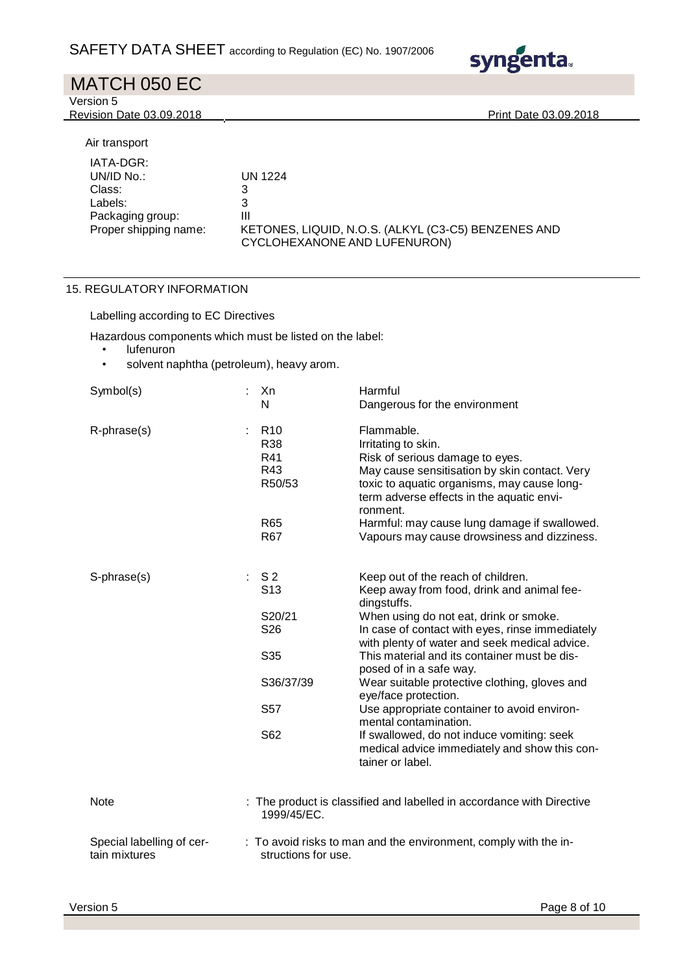

| MATCH 050 EC                                                                                             |                                                                                                               |
|----------------------------------------------------------------------------------------------------------|---------------------------------------------------------------------------------------------------------------|
| Version 5                                                                                                |                                                                                                               |
| <b>Revision Date 03.09.2018</b>                                                                          | <b>Print Date 03.09.2018</b>                                                                                  |
| Air transport<br>IATA-DGR:<br>UNID No.<br>Class:<br>Labels:<br>Packaging group:<br>Proper shipping name: | UN 1224<br>3<br>3<br>Ш<br>KETONES, LIQUID, N.O.S. (ALKYL (C3-C5) BENZENES AND<br>CYCLOHEXANONE AND LUFENURON) |

### 15. REGULATORY INFORMATION

Labelling according to EC Directives

Hazardous components which must be listed on the label:

- lufenuron
- solvent naphtha (petroleum), heavy arom.

| Symbol(s)                                  | Xn<br>N                                        | Harmful<br>Dangerous for the environment                                                                                                                                                                                      |
|--------------------------------------------|------------------------------------------------|-------------------------------------------------------------------------------------------------------------------------------------------------------------------------------------------------------------------------------|
| R-phrase(s)                                | R <sub>10</sub><br>R38<br>R41<br>R43<br>R50/53 | Flammable.<br>Irritating to skin.<br>Risk of serious damage to eyes.<br>May cause sensitisation by skin contact. Very<br>toxic to aquatic organisms, may cause long-<br>term adverse effects in the aquatic envi-<br>ronment. |
|                                            | R65<br>R <sub>67</sub>                         | Harmful: may cause lung damage if swallowed.<br>Vapours may cause drowsiness and dizziness.                                                                                                                                   |
| S-phrase(s)                                | S <sub>2</sub><br>t.<br>S <sub>13</sub>        | Keep out of the reach of children.<br>Keep away from food, drink and animal fee-<br>dingstuffs.                                                                                                                               |
|                                            | S20/21<br>S <sub>26</sub>                      | When using do not eat, drink or smoke.<br>In case of contact with eyes, rinse immediately<br>with plenty of water and seek medical advice.                                                                                    |
|                                            | S35                                            | This material and its container must be dis-<br>posed of in a safe way.                                                                                                                                                       |
|                                            | S36/37/39                                      | Wear suitable protective clothing, gloves and<br>eye/face protection.                                                                                                                                                         |
|                                            | S57                                            | Use appropriate container to avoid environ-<br>mental contamination.                                                                                                                                                          |
|                                            | S62                                            | If swallowed, do not induce vomiting: seek<br>medical advice immediately and show this con-<br>tainer or label.                                                                                                               |
| Note                                       | 1999/45/EC.                                    | : The product is classified and labelled in accordance with Directive                                                                                                                                                         |
| Special labelling of cer-<br>tain mixtures | structions for use.                            | : To avoid risks to man and the environment, comply with the in-                                                                                                                                                              |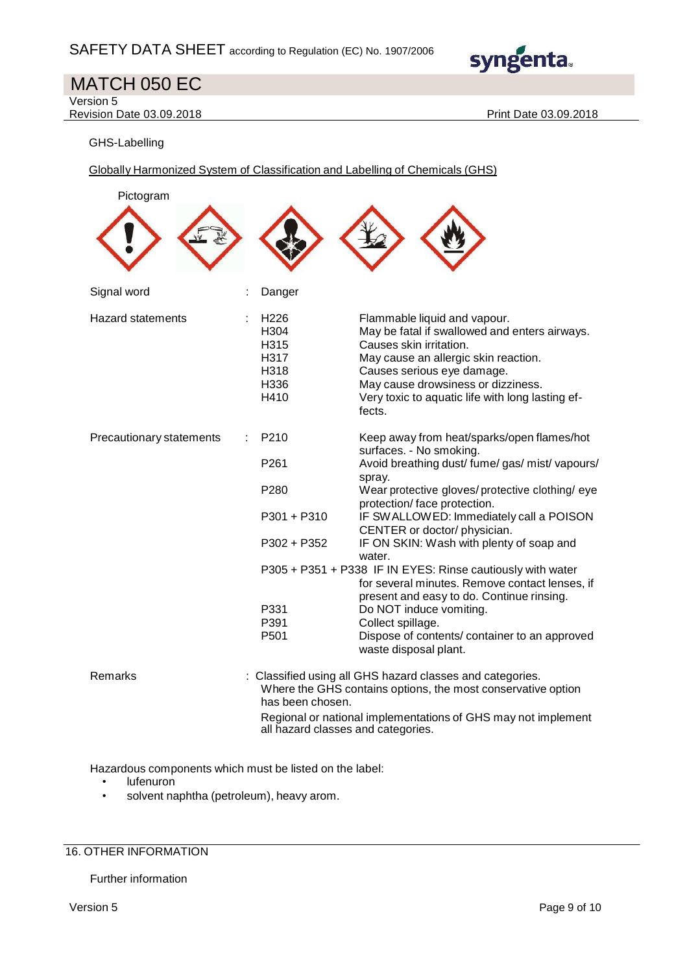

Version 5

Revision Date 03.09.2018 **Print Date 03.09.2018** 

GHS-Labelling

Globally Harmonized System of Classification and Labelling of Chemicals (GHS)

| Pictogram                |                                                                                                      |                                                                                                                                                                                                                                                                                                                                                                                                                                                                                                                                                                                                                                              |
|--------------------------|------------------------------------------------------------------------------------------------------|----------------------------------------------------------------------------------------------------------------------------------------------------------------------------------------------------------------------------------------------------------------------------------------------------------------------------------------------------------------------------------------------------------------------------------------------------------------------------------------------------------------------------------------------------------------------------------------------------------------------------------------------|
|                          |                                                                                                      |                                                                                                                                                                                                                                                                                                                                                                                                                                                                                                                                                                                                                                              |
| Signal word              | Danger                                                                                               |                                                                                                                                                                                                                                                                                                                                                                                                                                                                                                                                                                                                                                              |
| <b>Hazard statements</b> | H <sub>226</sub><br>H304<br>H315<br>H317<br>H318<br>H336<br>H410                                     | Flammable liquid and vapour.<br>May be fatal if swallowed and enters airways.<br>Causes skin irritation.<br>May cause an allergic skin reaction.<br>Causes serious eye damage.<br>May cause drowsiness or dizziness.<br>Very toxic to aquatic life with long lasting ef-<br>fects.                                                                                                                                                                                                                                                                                                                                                           |
| Precautionary statements | P <sub>210</sub><br>P <sub>261</sub><br>P280<br>$P301 + P310$<br>P302 + P352<br>P331<br>P391<br>P501 | Keep away from heat/sparks/open flames/hot<br>surfaces. - No smoking.<br>Avoid breathing dust/ fume/ gas/ mist/ vapours/<br>spray.<br>Wear protective gloves/protective clothing/eye<br>protection/ face protection.<br>IF SWALLOWED: Immediately call a POISON<br>CENTER or doctor/ physician.<br>IF ON SKIN: Wash with plenty of soap and<br>water.<br>P305 + P351 + P338 IF IN EYES: Rinse cautiously with water<br>for several minutes. Remove contact lenses, if<br>present and easy to do. Continue rinsing.<br>Do NOT induce vomiting.<br>Collect spillage.<br>Dispose of contents/ container to an approved<br>waste disposal plant. |
| Remarks                  | has been chosen.<br>all hazard classes and categories.                                               | : Classified using all GHS hazard classes and categories.<br>Where the GHS contains options, the most conservative option<br>Regional or national implementations of GHS may not implement                                                                                                                                                                                                                                                                                                                                                                                                                                                   |

Hazardous components which must be listed on the label:

- lufenuron
- solvent naphtha (petroleum), heavy arom.

### 16. OTHER INFORMATION

Further information